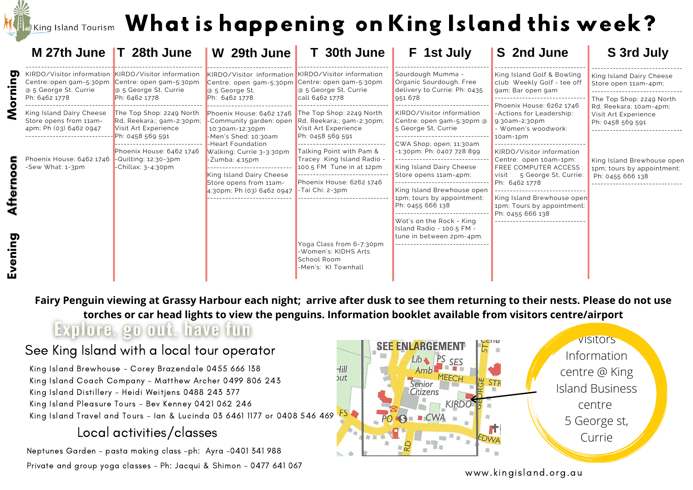## If  $\epsilon$  island Tourism  $\,$  What is happening on King Island this week?

|        | M 27th June T 28th June                                                                                 |                                                                                          | W 29th June                                                                                                                                                                                                                                                                     | T 30th June                                                                                                                                                                     | F 1st July                                                                              | S 2nd June                                                                                                                    | S 3rd July                                                                   |  |
|--------|---------------------------------------------------------------------------------------------------------|------------------------------------------------------------------------------------------|---------------------------------------------------------------------------------------------------------------------------------------------------------------------------------------------------------------------------------------------------------------------------------|---------------------------------------------------------------------------------------------------------------------------------------------------------------------------------|-----------------------------------------------------------------------------------------|-------------------------------------------------------------------------------------------------------------------------------|------------------------------------------------------------------------------|--|
| 0      | KIRDO/Visitor information KIRDO/Visitor information<br>Centre::open gam-5:30pm<br>@ 5 George St, Currie | Centre: open gam-5:30pm<br>a 5 George St, Currie                                         | KIRDO/Visitor information KIRDO/Visitor information<br>Centre: open gam-5:30pm<br>a 5 George St.                                                                                                                                                                                | Centre: open gam-5:30pm<br>@ 5 George St, Currie                                                                                                                                | Sourdough Mumma -<br>Organic Sourdough. Free<br>delivery to Currie: Ph: 0435<br>951 678 | King Island Golf & Bowling<br>club Weekly Golf - tee off<br>gam; Bar open gam                                                 | King Island Dairy Cheese<br>Store open 11am-4pm;                             |  |
|        | Ph: 6462 1778                                                                                           | Ph: 6462 1778                                                                            | Ph: 6462 1778                                                                                                                                                                                                                                                                   | call 6462 1778                                                                                                                                                                  |                                                                                         | Phoenix House: 6262 1746                                                                                                      | The Top Shop: 2249 North<br>Rd. Reekara; 10am-4pm;                           |  |
|        | King Island Dairy Cheese<br>Store opens from 11am-<br>4pm; Ph (03) 6462 0947                            | The Top Shop: 2249 North<br>Rd, Reekara;; gam-2:30pm;<br>Visit Art Experience            | Phoenix House: 6462 1746 The Top Shop: 2249 North<br>-Community garden: open<br>10:30am-12:30pm<br>-Men's Shed: 10:30am<br>Heart Foundation<br>Walking: Currie 3-3:30pm<br>$-Z$ umba: 4:15pm<br>King Island Dairy Cheese<br>Store opens from 11am-<br>4:30pm; Ph (03) 6462 0947 | Rd, Reekara;; gam-2:30pm;<br>Visit Art Experience<br>Ph: 0458 569 591                                                                                                           | KIRDO/Visitor information<br>Centre: open gam-5:30pm @<br>5 George St, Currie           | -Actions for Leadership:<br>9:30am-2:30pm<br>- Women's woodwork:                                                              | Visit Art Experience<br>Ph: 0458 569 591                                     |  |
|        |                                                                                                         | Ph: 0458 569 591                                                                         |                                                                                                                                                                                                                                                                                 |                                                                                                                                                                                 | CWA Shop; open; 11:30am                                                                 | $10am-1pm$                                                                                                                    |                                                                              |  |
|        | Phoenix House: 6462 1746<br>-Sew What: 1-3pm                                                            | Phoenix House: 6462 1746<br>$\blacksquare$ -Quilting: 12:30-3pm<br>-Chillax; $3-4:30$ pm |                                                                                                                                                                                                                                                                                 | Talking Point with Pam &<br>Tracey King Island Radio -<br>100.5 FM Tune in at 12pm<br>---------------------------<br>Phoenix House: 6262 1746<br>$\blacksquare$ -Tai Chi: 2-3pm | $-1:30$ pm: Ph: 0407 728 899                                                            | KIRDO/Visitor information<br>Centre: open 10am-1pm:<br>FREE COMPUTER ACCESS<br>visit<br>5 George St, Currie:<br>Ph: 6462 1778 | King Island Brewhouse open<br>1pm; tours by appointment:<br>Ph: 0455 666 138 |  |
|        |                                                                                                         |                                                                                          |                                                                                                                                                                                                                                                                                 |                                                                                                                                                                                 | ---------------<br>King Island Dairy Cheese                                             |                                                                                                                               |                                                                              |  |
|        |                                                                                                         |                                                                                          |                                                                                                                                                                                                                                                                                 |                                                                                                                                                                                 | Store opens 11am-4pm;                                                                   |                                                                                                                               |                                                                              |  |
|        |                                                                                                         |                                                                                          |                                                                                                                                                                                                                                                                                 |                                                                                                                                                                                 | King Island Brewhouse open<br>1pm; tours by appointment:                                | King Island Brewhouse open                                                                                                    |                                                                              |  |
|        |                                                                                                         |                                                                                          |                                                                                                                                                                                                                                                                                 |                                                                                                                                                                                 | Ph: 0455 666 138                                                                        | 1pm; Tours by appointment:<br>Ph: 0455 666 138                                                                                |                                                                              |  |
|        |                                                                                                         |                                                                                          |                                                                                                                                                                                                                                                                                 |                                                                                                                                                                                 | Wot's on the Rock - King<br>Island Radio - 100.5 FM -<br>tune in between 2pm-4pm.       |                                                                                                                               |                                                                              |  |
| vening |                                                                                                         |                                                                                          |                                                                                                                                                                                                                                                                                 | Yoga Class from 6-7:30pm<br>-Women's: KIDHS Arts<br>School Room<br>-Men's: KI Townhall                                                                                          |                                                                                         |                                                                                                                               |                                                                              |  |
|        |                                                                                                         |                                                                                          |                                                                                                                                                                                                                                                                                 |                                                                                                                                                                                 |                                                                                         |                                                                                                                               |                                                                              |  |

Fairy Penguin viewing at Grassy Harbour each night; arrive after dusk to see them returning to their nests. Please do not use **torches or car head lights to view the penguins. Information booklet available from visitors centre/airport** Explore, go out, have fun

## See King Island with a local tour operator

King Island Brewhouse - Corey Brazendale 0455 666 138 King Island Coach Company - Matthew Archer 0499 806 243 King Island Distillery - Heidi Weitjens 0488 243 377 King Island Pleasure Tours - Bev Kenney 0421 062 246 King Island Travel and Tours – Ian & Lucinda 03 6461 1177 or 0408 546 469 FS

## Local activities/classes

Neptunes Garden - pasta making class -ph: Ayra -0401 341 988 Private and group yoga classes - Ph: Jacqui & Shimon - 0477 641 067



www.kingisland.org.au